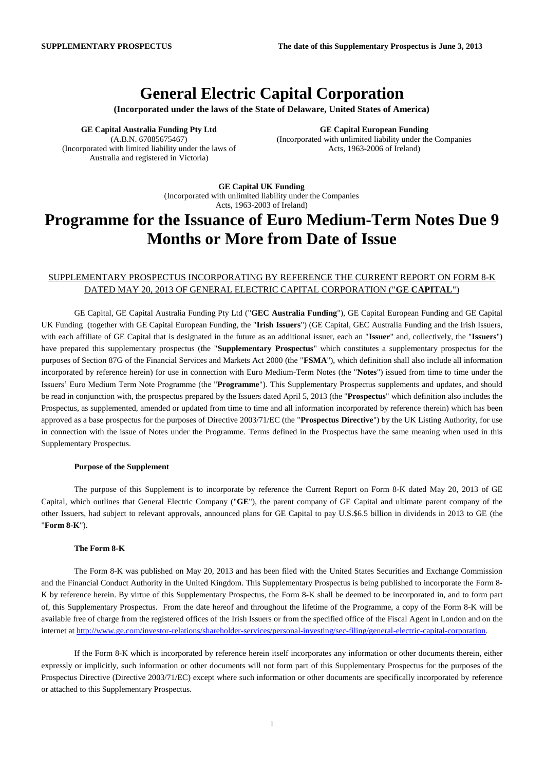## **General Electric Capital Corporation**

**(Incorporated under the laws of the State of Delaware, United States of America)**

**GE Capital Australia Funding Pty Ltd** (A.B.N. 67085675467) (Incorporated with limited liability under the laws of Australia and registered in Victoria)

**GE Capital European Funding** (Incorporated with unlimited liability under the Companies Acts, 1963-2006 of Ireland)

**GE Capital UK Funding** (Incorporated with unlimited liability under the Companies Acts, 1963-2003 of Ireland)

# **Programme for the Issuance of Euro Medium-Term Notes Due 9 Months or More from Date of Issue**

### SUPPLEMENTARY PROSPECTUS INCORPORATING BY REFERENCE THE CURRENT REPORT ON FORM 8-K DATED MAY 20, 2013 OF GENERAL ELECTRIC CAPITAL CORPORATION ("**GE CAPITAL**")

GE Capital, GE Capital Australia Funding Pty Ltd ("**GEC Australia Funding**"), GE Capital European Funding and GE Capital UK Funding (together with GE Capital European Funding, the "**Irish Issuers**") (GE Capital, GEC Australia Funding and the Irish Issuers, with each affiliate of GE Capital that is designated in the future as an additional issuer, each an "**Issuer**" and, collectively, the "**Issuers**") have prepared this supplementary prospectus (the "**Supplementary Prospectus**" which constitutes a supplementary prospectus for the purposes of Section 87G of the Financial Services and Markets Act 2000 (the "**FSMA**"), which definition shall also include all information incorporated by reference herein) for use in connection with Euro Medium-Term Notes (the "**Notes**") issued from time to time under the Issuers' Euro Medium Term Note Programme (the "**Programme**"). This Supplementary Prospectus supplements and updates, and should be read in conjunction with, the prospectus prepared by the Issuers dated April 5, 2013 (the "**Prospectus**" which definition also includes the Prospectus, as supplemented, amended or updated from time to time and all information incorporated by reference therein) which has been approved as a base prospectus for the purposes of Directive 2003/71/EC (the "**Prospectus Directive**") by the UK Listing Authority, for use in connection with the issue of Notes under the Programme. Terms defined in the Prospectus have the same meaning when used in this Supplementary Prospectus.

#### **Purpose of the Supplement**

The purpose of this Supplement is to incorporate by reference the Current Report on Form 8-K dated May 20, 2013 of GE Capital, which outlines that General Electric Company ("**GE**"), the parent company of GE Capital and ultimate parent company of the other Issuers, had subject to relevant approvals, announced plans for GE Capital to pay U.S.\$6.5 billion in dividends in 2013 to GE (the "**Form 8-K**").

#### **The Form 8-K**

The Form 8-K was published on May 20, 2013 and has been filed with the United States Securities and Exchange Commission and the Financial Conduct Authority in the United Kingdom. This Supplementary Prospectus is being published to incorporate the Form 8- K by reference herein. By virtue of this Supplementary Prospectus, the Form 8-K shall be deemed to be incorporated in, and to form part of, this Supplementary Prospectus. From the date hereof and throughout the lifetime of the Programme, a copy of the Form 8-K will be available free of charge from the registered offices of the Irish Issuers or from the specified office of the Fiscal Agent in London and on the internet at [http://www.ge.com/investor-relations/shareholder-services/personal-investing/sec-filing/general-electric-capital-corporation.](http://www.ge.com/investor-relations/shareholder-services/personal-investing/sec-filing/general-electric-capital-corporation)

If the Form 8-K which is incorporated by reference herein itself incorporates any information or other documents therein, either expressly or implicitly, such information or other documents will not form part of this Supplementary Prospectus for the purposes of the Prospectus Directive (Directive 2003/71/EC) except where such information or other documents are specifically incorporated by reference or attached to this Supplementary Prospectus.